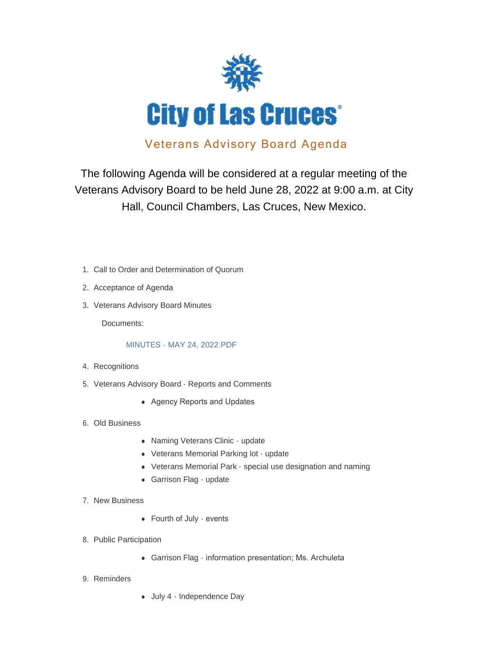

# Veterans Advisory Board Agenda

The following Agenda will be considered at a regular meeting of the Veterans Advisory Board to be held June 28, 2022 at 9:00 a.m. at City Hall, Council Chambers, Las Cruces, New Mexico.

- 1. Call to Order and Determination of Quorum
- 2. Acceptance of Agenda
- 3. Veterans Advisory Board Minutes

Documents:

#### MINUTES - MAY 24, 2022.PDF

- 4. Recognitions
- 5. Veterans Advisory Board Reports and Comments
	- Agency Reports and Updates
- 6. Old Business
	- Naming Veterans Clinic update
	- Veterans Memorial Parking lot update
	- Veterans Memorial Park special use designation and naming
	- Garrison Flag update
- 7. New Business
	- Fourth of July events
- 8. Public Participation
	- Garrison Flag information presentation; Ms. Archuleta
- 9. Reminders
- July 4 Independence Day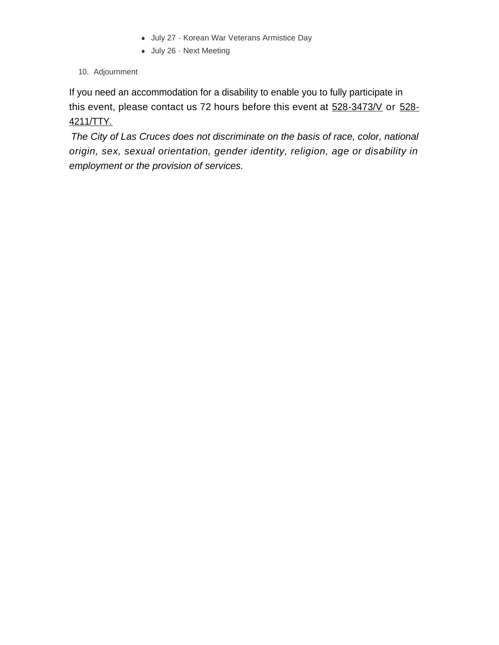- July 27 Korean War Veterans Armistice Day
- July 26 Next Meeting
- 10. Adjournment

If you need an accommodation for a disability to enable you to fully participate in this event, please contact us 72 hours before this event at  $528-3473/N$  or  $528-$ 4211/TTY.

*The City of Las Cruces does not discriminate on the basis of race, color, national origin, sex, sexual orientation, gender identity, religion, age or disability in employment or the provision of services.*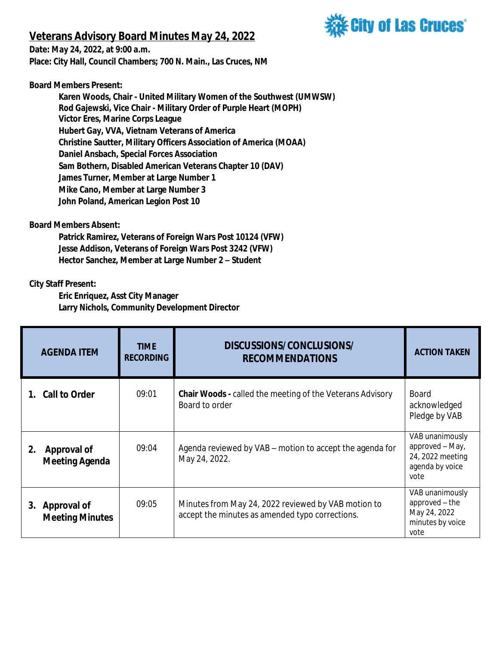## **Veterans Advisory Board Minutes May 24, 2022**



**Date: May 24, 2022, at 9:00 a.m. Place: City Hall, Council Chambers; 700 N. Main., Las Cruces, NM**

**Board Members Present:**

**Karen Woods, Chair - United Military Women of the Southwest (UMWSW) Rod Gajewski, Vice Chair - Military Order of Purple Heart (MOPH) Victor Eres, Marine Corps League Hubert Gay, VVA, Vietnam Veterans of America Christine Sautter, Military Officers Association of America (MOAA) Daniel Ansbach, Special Forces Association Sam Bothern, Disabled American Veterans Chapter 10 (DAV) James Turner, Member at Large Number 1 Mike Cano, Member at Large Number 3 John Poland, American Legion Post 10**

### **Board Members Absent:**

**Patrick Ramirez, Veterans of Foreign Wars Post 10124 (VFW) Jesse Addison, Veterans of Foreign Wars Post 3242 (VFW) Hector Sanchez, Member at Large Number 2 – Student**

### **City Staff Present:**

**Eric Enriquez, Asst City Manager Larry Nichols, Community Development Director**

| <b>AGENDA ITEM</b>                          | <b>TIME</b><br><b>RECORDING</b> | DISCUSSIONS/CONCLUSIONS/<br><b>RECOMMENDATIONS</b>                                                     | <b>ACTION TAKEN</b>                                                               |
|---------------------------------------------|---------------------------------|--------------------------------------------------------------------------------------------------------|-----------------------------------------------------------------------------------|
| 1. Call to Order                            | 09:01                           | <b>Chair Woods - called the meeting of the Veterans Advisory</b><br>Board to order                     | <b>Board</b><br>acknowledged<br>Pledge by VAB                                     |
| 2.<br>Approval of<br><b>Meeting Agenda</b>  | 09:04                           | Agenda reviewed by VAB – motion to accept the agenda for<br>May 24, 2022.                              | VAB unanimously<br>approved - May,<br>24, 2022 meeting<br>agenda by voice<br>vote |
| Approval of<br>3.<br><b>Meeting Minutes</b> | 09:05                           | Minutes from May 24, 2022 reviewed by VAB motion to<br>accept the minutes as amended typo corrections. | VAB unanimously<br>approved - the<br>May 24, 2022<br>minutes by voice<br>vote     |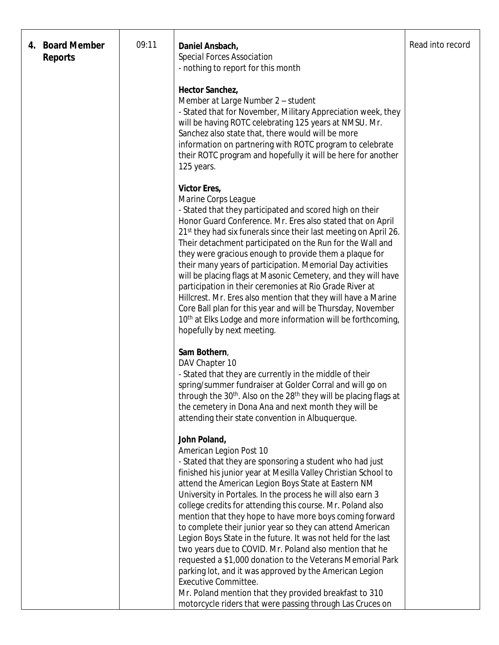| 4. | <b>Board Member</b><br><b>Reports</b> | 09:11 | Daniel Ansbach,<br>Special Forces Association<br>- nothing to report for this month                                                                                                                                                                                                                                                                                                                                                                                                                                                                                                                                                                                                                                                                                                          | Read into record |
|----|---------------------------------------|-------|----------------------------------------------------------------------------------------------------------------------------------------------------------------------------------------------------------------------------------------------------------------------------------------------------------------------------------------------------------------------------------------------------------------------------------------------------------------------------------------------------------------------------------------------------------------------------------------------------------------------------------------------------------------------------------------------------------------------------------------------------------------------------------------------|------------------|
|    |                                       |       | Hector Sanchez,<br>Member at Large Number 2 - student<br>- Stated that for November, Military Appreciation week, they<br>will be having ROTC celebrating 125 years at NMSU. Mr.<br>Sanchez also state that, there would will be more<br>information on partnering with ROTC program to celebrate<br>their ROTC program and hopefully it will be here for another<br>125 years.                                                                                                                                                                                                                                                                                                                                                                                                               |                  |
|    |                                       |       | Victor Eres,<br>Marine Corps League<br>- Stated that they participated and scored high on their<br>Honor Guard Conference. Mr. Eres also stated that on April<br>21 <sup>st</sup> they had six funerals since their last meeting on April 26.<br>Their detachment participated on the Run for the Wall and<br>they were gracious enough to provide them a plaque for<br>their many years of participation. Memorial Day activities<br>will be placing flags at Masonic Cemetery, and they will have<br>participation in their ceremonies at Rio Grade River at<br>Hillcrest. Mr. Eres also mention that they will have a Marine<br>Core Ball plan for this year and will be Thursday, November<br>10th at Elks Lodge and more information will be forthcoming,<br>hopefully by next meeting. |                  |
|    |                                       |       | Sam Bothern,<br>DAV Chapter 10<br>- Stated that they are currently in the middle of their<br>spring/summer fundraiser at Golder Corral and will go on<br>through the 30 <sup>th</sup> . Also on the 28 <sup>th</sup> they will be placing flags at<br>the cemetery in Dona Ana and next month they will be<br>attending their state convention in Albuquerque.                                                                                                                                                                                                                                                                                                                                                                                                                               |                  |
|    |                                       |       | John Poland,<br>American Legion Post 10<br>- Stated that they are sponsoring a student who had just<br>finished his junior year at Mesilla Valley Christian School to<br>attend the American Legion Boys State at Eastern NM<br>University in Portales. In the process he will also earn 3<br>college credits for attending this course. Mr. Poland also<br>mention that they hope to have more boys coming forward<br>to complete their junior year so they can attend American<br>Legion Boys State in the future. It was not held for the last<br>two years due to COVID. Mr. Poland also mention that he<br>requested a \$1,000 donation to the Veterans Memorial Park<br>parking lot, and it was approved by the American Legion<br><b>Executive Committee.</b>                         |                  |
|    |                                       |       | Mr. Poland mention that they provided breakfast to 310<br>motorcycle riders that were passing through Las Cruces on                                                                                                                                                                                                                                                                                                                                                                                                                                                                                                                                                                                                                                                                          |                  |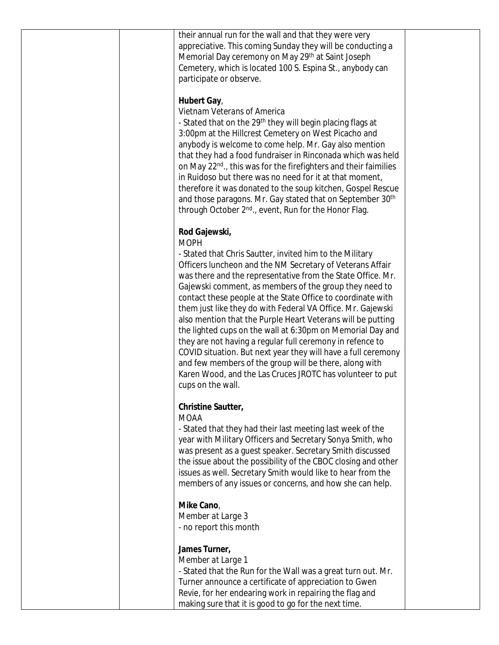| their annual run for the wall and that they were very<br>appreciative. This coming Sunday they will be conducting a<br>Memorial Day ceremony on May 29th at Saint Joseph<br>Cemetery, which is located 100 S. Espina St., anybody can<br>participate or observe.                                                                                                                                                                                                                                                                                                                                                                                                                                                                                                                                                    |
|---------------------------------------------------------------------------------------------------------------------------------------------------------------------------------------------------------------------------------------------------------------------------------------------------------------------------------------------------------------------------------------------------------------------------------------------------------------------------------------------------------------------------------------------------------------------------------------------------------------------------------------------------------------------------------------------------------------------------------------------------------------------------------------------------------------------|
| Hubert Gay,<br>Vietnam Veterans of America<br>- Stated that on the 29 <sup>th</sup> they will begin placing flags at<br>3:00pm at the Hillcrest Cemetery on West Picacho and<br>anybody is welcome to come help. Mr. Gay also mention<br>that they had a food fundraiser in Rinconada which was held<br>on May 22 <sup>nd</sup> ., this was for the firefighters and their faimilies<br>in Ruidoso but there was no need for it at that moment,<br>therefore it was donated to the soup kitchen, Gospel Rescue<br>and those paragons. Mr. Gay stated that on September 30th<br>through October 2 <sup>nd</sup> ., event, Run for the Honor Flag.                                                                                                                                                                    |
| Rod Gajewski,<br><b>MOPH</b><br>- Stated that Chris Sautter, invited him to the Military<br>Officers luncheon and the NM Secretary of Veterans Affair<br>was there and the representative from the State Office. Mr.<br>Gajewski comment, as members of the group they need to<br>contact these people at the State Office to coordinate with<br>them just like they do with Federal VA Office. Mr. Gajewski<br>also mention that the Purple Heart Veterans will be putting<br>the lighted cups on the wall at 6:30pm on Memorial Day and<br>they are not having a regular full ceremony in refence to<br>COVID situation. But next year they will have a full ceremony<br>and few members of the group will be there, along with<br>Karen Wood, and the Las Cruces JROTC has volunteer to put<br>cups on the wall. |
| Christine Sautter,<br><b>MOAA</b><br>- Stated that they had their last meeting last week of the<br>year with Military Officers and Secretary Sonya Smith, who<br>was present as a guest speaker. Secretary Smith discussed<br>the issue about the possibility of the CBOC closing and other<br>issues as well. Secretary Smith would like to hear from the<br>members of any issues or concerns, and how she can help.                                                                                                                                                                                                                                                                                                                                                                                              |
| Mike Cano,<br>Member at Large 3<br>- no report this month                                                                                                                                                                                                                                                                                                                                                                                                                                                                                                                                                                                                                                                                                                                                                           |
| James Turner,<br>Member at Large 1<br>- Stated that the Run for the Wall was a great turn out. Mr.<br>Turner announce a certificate of appreciation to Gwen<br>Revie, for her endearing work in repairing the flag and<br>making sure that it is good to go for the next time.                                                                                                                                                                                                                                                                                                                                                                                                                                                                                                                                      |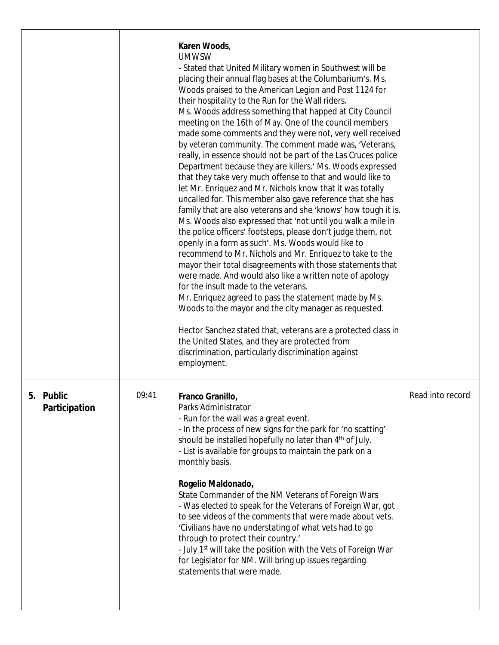|                            |       | Karen Woods,<br><b>UMWSW</b><br>- Stated that United Military women in Southwest will be<br>placing their annual flag bases at the Columbarium's. Ms.<br>Woods praised to the American Legion and Post 1124 for<br>their hospitality to the Run for the Wall riders.<br>Ms. Woods address something that happed at City Council<br>meeting on the 16th of May. One of the council members<br>made some comments and they were not, very well received<br>by veteran community. The comment made was, 'Veterans,<br>really, in essence should not be part of the Las Cruces police<br>Department because they are killers.' Ms. Woods expressed<br>that they take very much offense to that and would like to<br>let Mr. Enriquez and Mr. Nichols know that it was totally<br>uncalled for. This member also gave reference that she has<br>family that are also veterans and she 'knows' how tough it is.<br>Ms. Woods also expressed that 'not until you walk a mile in<br>the police officers' footsteps, please don't judge them, not<br>openly in a form as such'. Ms. Woods would like to<br>recommend to Mr. Nichols and Mr. Enriquez to take to the<br>mayor their total disagreements with those statements that<br>were made. And would also like a written note of apology<br>for the insult made to the veterans.<br>Mr. Enriquez agreed to pass the statement made by Ms.<br>Woods to the mayor and the city manager as requested.<br>Hector Sanchez stated that, veterans are a protected class in<br>the United States, and they are protected from<br>discrimination, particularly discrimination against<br>employment. |                  |
|----------------------------|-------|-----------------------------------------------------------------------------------------------------------------------------------------------------------------------------------------------------------------------------------------------------------------------------------------------------------------------------------------------------------------------------------------------------------------------------------------------------------------------------------------------------------------------------------------------------------------------------------------------------------------------------------------------------------------------------------------------------------------------------------------------------------------------------------------------------------------------------------------------------------------------------------------------------------------------------------------------------------------------------------------------------------------------------------------------------------------------------------------------------------------------------------------------------------------------------------------------------------------------------------------------------------------------------------------------------------------------------------------------------------------------------------------------------------------------------------------------------------------------------------------------------------------------------------------------------------------------------------------------------------------------------------------|------------------|
| 5. Public<br>Participation | 09:41 | Franco Granillo,<br>Parks Administrator<br>- Run for the wall was a great event.<br>- In the process of new signs for the park for 'no scatting'<br>should be installed hopefully no later than 4 <sup>th</sup> of July.<br>- List is available for groups to maintain the park on a<br>monthly basis.<br>Rogelio Maldonado,<br>State Commander of the NM Veterans of Foreign Wars<br>- Was elected to speak for the Veterans of Foreign War, got<br>to see videos of the comments that were made about vets.<br>'Civilians have no understating of what vets had to go<br>through to protect their country.'<br>- July 1 <sup>st</sup> will take the position with the Vets of Foreign War<br>for Legislator for NM. Will bring up issues regarding<br>statements that were made.                                                                                                                                                                                                                                                                                                                                                                                                                                                                                                                                                                                                                                                                                                                                                                                                                                                      | Read into record |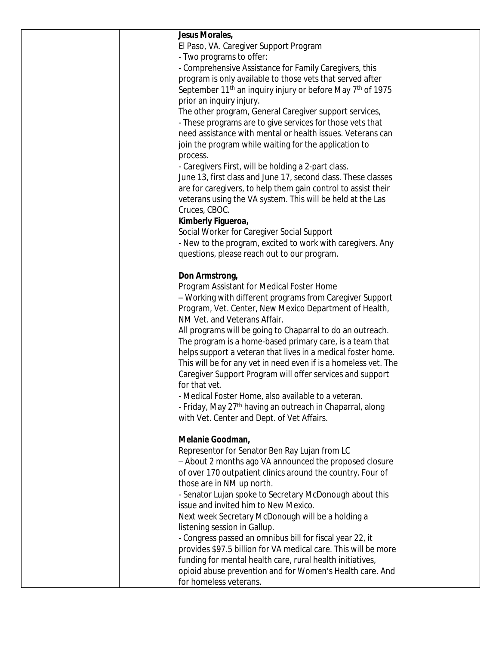| Jesus Morales,                                                                     |  |
|------------------------------------------------------------------------------------|--|
| El Paso, VA. Caregiver Support Program                                             |  |
| - Two programs to offer:                                                           |  |
| - Comprehensive Assistance for Family Caregivers, this                             |  |
| program is only available to those vets that served after                          |  |
| September 11 <sup>th</sup> an inquiry injury or before May 7 <sup>th</sup> of 1975 |  |
| prior an inquiry injury.                                                           |  |
| The other program, General Caregiver support services,                             |  |
| - These programs are to give services for those vets that                          |  |
| need assistance with mental or health issues. Veterans can                         |  |
| join the program while waiting for the application to                              |  |
| process.                                                                           |  |
| - Caregivers First, will be holding a 2-part class.                                |  |
| June 13, first class and June 17, second class. These classes                      |  |
| are for caregivers, to help them gain control to assist their                      |  |
| veterans using the VA system. This will be held at the Las                         |  |
| Cruces, CBOC.                                                                      |  |
| Kimberly Figueroa,                                                                 |  |
| Social Worker for Caregiver Social Support                                         |  |
| - New to the program, excited to work with caregivers. Any                         |  |
| questions, please reach out to our program.                                        |  |
| Don Armstrong,                                                                     |  |
| Program Assistant for Medical Foster Home                                          |  |
| - Working with different programs from Caregiver Support                           |  |
| Program, Vet. Center, New Mexico Department of Health,                             |  |
| NM Vet. and Veterans Affair.                                                       |  |
| All programs will be going to Chaparral to do an outreach.                         |  |
| The program is a home-based primary care, is a team that                           |  |
| helps support a veteran that lives in a medical foster home.                       |  |
| This will be for any vet in need even if is a homeless vet. The                    |  |
| Caregiver Support Program will offer services and support                          |  |
| for that vet.                                                                      |  |
| - Medical Foster Home, also available to a veteran.                                |  |
| - Friday, May 27 <sup>th</sup> having an outreach in Chaparral, along              |  |
| with Vet. Center and Dept. of Vet Affairs.                                         |  |
|                                                                                    |  |
| Melanie Goodman,                                                                   |  |
| Representor for Senator Ben Ray Lujan from LC                                      |  |
| - About 2 months ago VA announced the proposed closure                             |  |
| of over 170 outpatient clinics around the country. Four of                         |  |
| those are in NM up north.                                                          |  |
| - Senator Lujan spoke to Secretary McDonough about this                            |  |
| issue and invited him to New Mexico.                                               |  |
| Next week Secretary McDonough will be a holding a                                  |  |
| listening session in Gallup.                                                       |  |
| - Congress passed an omnibus bill for fiscal year 22, it                           |  |
| provides \$97.5 billion for VA medical care. This will be more                     |  |
| funding for mental health care, rural health initiatives,                          |  |
| opioid abuse prevention and for Women's Health care. And                           |  |
| for homeless veterans.                                                             |  |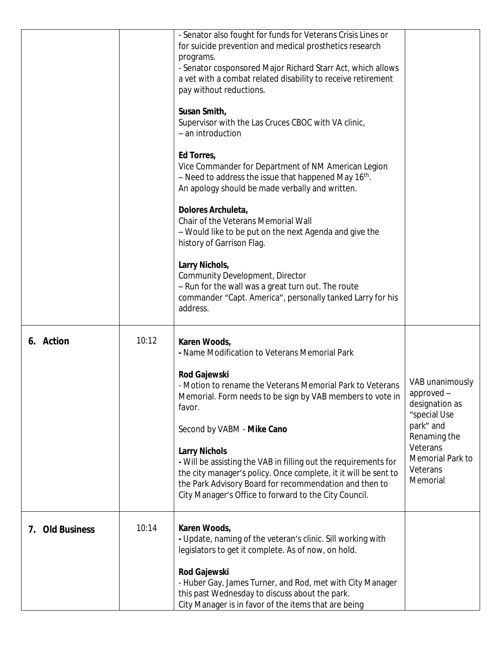|                           |       | - Senator also fought for funds for Veterans Crisis Lines or<br>for suicide prevention and medical prosthetics research<br>programs.<br>- Senator cosponsored Major Richard Starr Act, which allows<br>a vet with a combat related disability to receive retirement<br>pay without reductions.<br>Susan Smith,<br>Supervisor with the Las Cruces CBOC with VA clinic,<br>- an introduction<br>Ed Torres,<br>Vice Commander for Department of NM American Legion<br>$-$ Need to address the issue that happened May 16 <sup>th</sup> .<br>An apology should be made verbally and written.<br>Dolores Archuleta,<br>Chair of the Veterans Memorial Wall<br>- Would like to be put on the next Agenda and give the<br>history of Garrison Flag.<br>Larry Nichols,<br>Community Development, Director |                                                                                                                                                      |
|---------------------------|-------|---------------------------------------------------------------------------------------------------------------------------------------------------------------------------------------------------------------------------------------------------------------------------------------------------------------------------------------------------------------------------------------------------------------------------------------------------------------------------------------------------------------------------------------------------------------------------------------------------------------------------------------------------------------------------------------------------------------------------------------------------------------------------------------------------|------------------------------------------------------------------------------------------------------------------------------------------------------|
|                           |       | - Run for the wall was a great turn out. The route<br>commander "Capt. America", personally tanked Larry for his<br>address.                                                                                                                                                                                                                                                                                                                                                                                                                                                                                                                                                                                                                                                                      |                                                                                                                                                      |
| Action<br>6.              | 10:12 | Karen Woods,<br>- Name Modification to Veterans Memorial Park<br><b>Rod Gajewski</b><br>- Motion to rename the Veterans Memorial Park to Veterans<br>Memorial. Form needs to be sign by VAB members to vote in<br>favor.<br>Second by VABM - Mike Cano<br><b>Larry Nichols</b><br>- Will be assisting the VAB in filling out the requirements for<br>the city manager's policy. Once complete, it it will be sent to<br>the Park Advisory Board for recommendation and then to<br>City Manager's Office to forward to the City Council.                                                                                                                                                                                                                                                           | VAB unanimously<br>approved -<br>designation as<br>"special Use<br>park" and<br>Renaming the<br>Veterans<br>Memorial Park to<br>Veterans<br>Memorial |
| <b>Old Business</b><br>7. | 10:14 | Karen Woods,<br>- Update, naming of the veteran's clinic. Sill working with<br>legislators to get it complete. As of now, on hold.<br><b>Rod Gajewski</b><br>- Huber Gay, James Turner, and Rod, met with City Manager<br>this past Wednesday to discuss about the park.<br>City Manager is in favor of the items that are being                                                                                                                                                                                                                                                                                                                                                                                                                                                                  |                                                                                                                                                      |